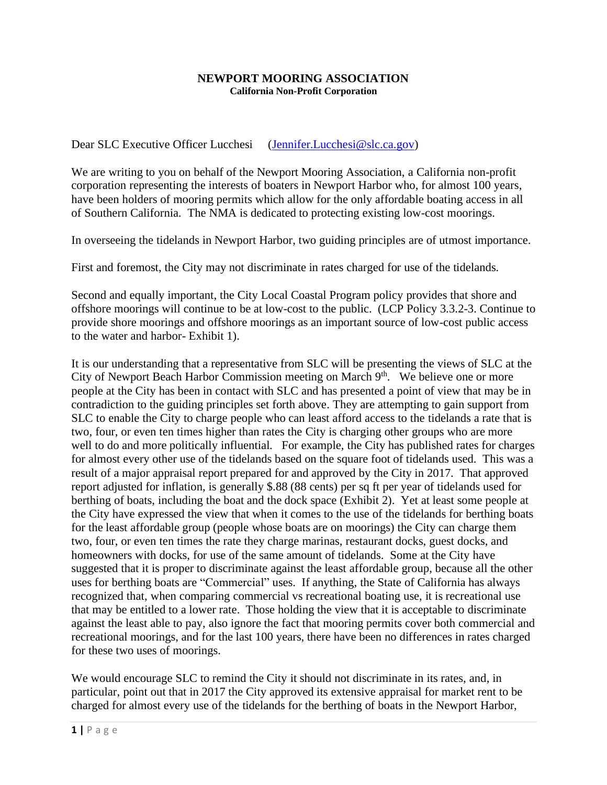## **NEWPORT MOORING ASSOCIATION California Non-Profit Corporation**

Dear SLC Executive Officer Lucchesi [\(Jennifer.Lucchesi@slc.ca.gov\)](mailto:Jennifer.Lucchesi@slc.ca.gov)

We are writing to you on behalf of the Newport Mooring Association, a California non-profit corporation representing the interests of boaters in Newport Harbor who, for almost 100 years, have been holders of mooring permits which allow for the only affordable boating access in all of Southern California. The NMA is dedicated to protecting existing low-cost moorings.

In overseeing the tidelands in Newport Harbor, two guiding principles are of utmost importance.

First and foremost, the City may not discriminate in rates charged for use of the tidelands.

Second and equally important, the City Local Coastal Program policy provides that shore and offshore moorings will continue to be at low-cost to the public. (LCP Policy 3.3.2-3. Continue to provide shore moorings and offshore moorings as an important source of low-cost public access to the water and harbor- Exhibit 1).

It is our understanding that a representative from SLC will be presenting the views of SLC at the City of Newport Beach Harbor Commission meeting on March 9<sup>th</sup>. We believe one or more people at the City has been in contact with SLC and has presented a point of view that may be in contradiction to the guiding principles set forth above. They are attempting to gain support from SLC to enable the City to charge people who can least afford access to the tidelands a rate that is two, four, or even ten times higher than rates the City is charging other groups who are more well to do and more politically influential. For example, the City has published rates for charges for almost every other use of the tidelands based on the square foot of tidelands used. This was a result of a major appraisal report prepared for and approved by the City in 2017. That approved report adjusted for inflation, is generally \$.88 (88 cents) per sq ft per year of tidelands used for berthing of boats, including the boat and the dock space (Exhibit 2). Yet at least some people at the City have expressed the view that when it comes to the use of the tidelands for berthing boats for the least affordable group (people whose boats are on moorings) the City can charge them two, four, or even ten times the rate they charge marinas, restaurant docks, guest docks, and homeowners with docks, for use of the same amount of tidelands. Some at the City have suggested that it is proper to discriminate against the least affordable group, because all the other uses for berthing boats are "Commercial" uses. If anything, the State of California has always recognized that, when comparing commercial vs recreational boating use, it is recreational use that may be entitled to a lower rate. Those holding the view that it is acceptable to discriminate against the least able to pay, also ignore the fact that mooring permits cover both commercial and recreational moorings, and for the last 100 years, there have been no differences in rates charged for these two uses of moorings.

We would encourage SLC to remind the City it should not discriminate in its rates, and, in particular, point out that in 2017 the City approved its extensive appraisal for market rent to be charged for almost every use of the tidelands for the berthing of boats in the Newport Harbor,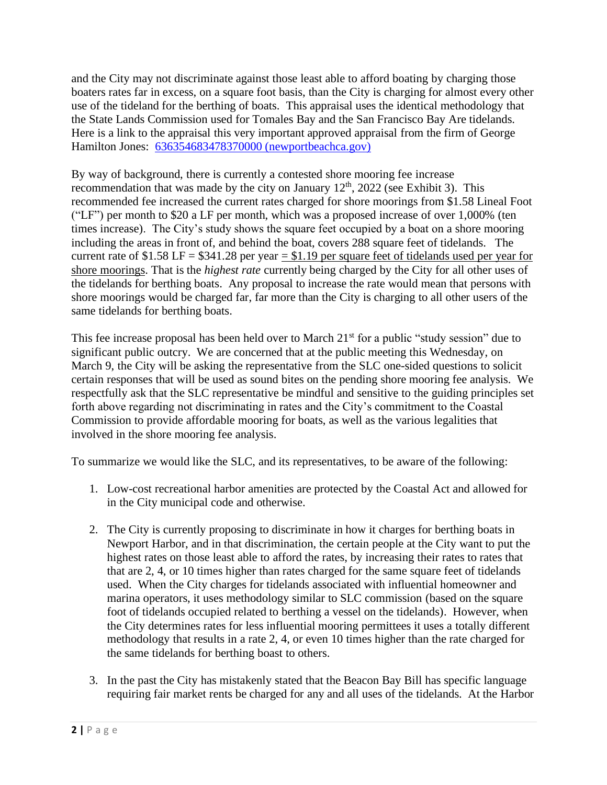and the City may not discriminate against those least able to afford boating by charging those boaters rates far in excess, on a square foot basis, than the City is charging for almost every other use of the tideland for the berthing of boats. This appraisal uses the identical methodology that the State Lands Commission used for Tomales Bay and the San Francisco Bay Are tidelands. Here is a link to the appraisal this very important approved appraisal from the firm of George Hamilton Jones: [636354683478370000 \(newportbeachca.gov\)](https://newportbeachca.gov/home/showpublisheddocument/55811/636354683478370000)

By way of background, there is currently a contested shore mooring fee increase recommendation that was made by the city on January  $12<sup>th</sup>$ , 2022 (see Exhibit 3). This recommended fee increased the current rates charged for shore moorings from \$1.58 Lineal Foot ("LF") per month to \$20 a LF per month, which was a proposed increase of over 1,000% (ten times increase). The City's study shows the square feet occupied by a boat on a shore mooring including the areas in front of, and behind the boat, covers 288 square feet of tidelands. The current rate of  $$1.58 \text{ LF} = $341.28 \text{ per year} = $1.19 \text{ per square feet of tiedlands used per year for}$ shore moorings. That is the *highest rate* currently being charged by the City for all other uses of the tidelands for berthing boats. Any proposal to increase the rate would mean that persons with shore moorings would be charged far, far more than the City is charging to all other users of the same tidelands for berthing boats.

This fee increase proposal has been held over to March  $21<sup>st</sup>$  for a public "study session" due to significant public outcry. We are concerned that at the public meeting this Wednesday, on March 9, the City will be asking the representative from the SLC one-sided questions to solicit certain responses that will be used as sound bites on the pending shore mooring fee analysis. We respectfully ask that the SLC representative be mindful and sensitive to the guiding principles set forth above regarding not discriminating in rates and the City's commitment to the Coastal Commission to provide affordable mooring for boats, as well as the various legalities that involved in the shore mooring fee analysis.

To summarize we would like the SLC, and its representatives, to be aware of the following:

- 1. Low-cost recreational harbor amenities are protected by the Coastal Act and allowed for in the City municipal code and otherwise.
- 2. The City is currently proposing to discriminate in how it charges for berthing boats in Newport Harbor, and in that discrimination, the certain people at the City want to put the highest rates on those least able to afford the rates, by increasing their rates to rates that that are 2, 4, or 10 times higher than rates charged for the same square feet of tidelands used. When the City charges for tidelands associated with influential homeowner and marina operators, it uses methodology similar to SLC commission (based on the square foot of tidelands occupied related to berthing a vessel on the tidelands). However, when the City determines rates for less influential mooring permittees it uses a totally different methodology that results in a rate 2, 4, or even 10 times higher than the rate charged for the same tidelands for berthing boast to others.
- 3. In the past the City has mistakenly stated that the Beacon Bay Bill has specific language requiring fair market rents be charged for any and all uses of the tidelands. At the Harbor